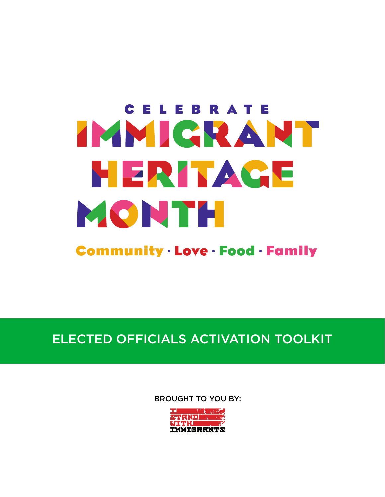# CELEBRATE TANICRANT NERI AGE MONTH

**Community · Love · Food · Family** 

# ELECTED OFFICIALS ACTIVATION TOOLKIT

BROUGHT TO YOU BY:

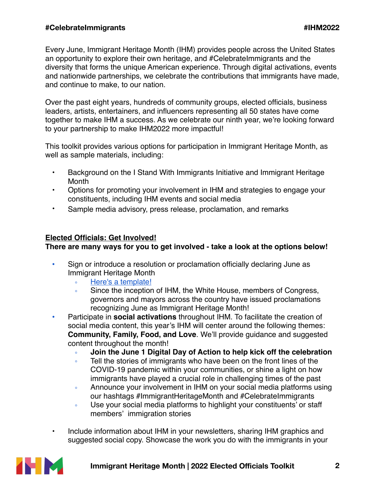Every June, Immigrant Heritage Month (IHM) provides people across the United States an opportunity to explore their own heritage, and #CelebrateImmigrants and the diversity that forms the unique American experience. Through digital activations, events and nationwide partnerships, we celebrate the contributions that immigrants have made, and continue to make, to our nation.

Over the past eight years, hundreds of community groups, elected officials, business leaders, artists, entertainers, and influencers representing all 50 states have come together to make IHM a success. As we celebrate our ninth year, we're looking forward to your partnership to make IHM2022 more impactful!

This toolkit provides various options for participation in Immigrant Heritage Month, as well as sample materials, including:

- Background on the I Stand With Immigrants Initiative and Immigrant Heritage Month
- Options for promoting your involvement in IHM and strategies to engage your constituents, including IHM events and social media
- Sample media advisory, press release, proclamation, and remarks

# **Elected Officials: Get Involved!**

# **There are many ways for you to get involved - take a look at the options below!**

- Sign or introduce a resolution or proclamation officially declaring June as Immigrant Heritage Month
	- [Here's a template!](https://docs.google.com/document/d/1kSZOI9IQC-54-DLDGRFoU7PTchOFSPtRLgvYobaH7sU/edit)
	- Since the inception of IHM, the White House, members of Congress, governors and mayors across the country have issued proclamations recognizing June as Immigrant Heritage Month!
- Participate in **social activations** throughout IHM. To facilitate the creation of social media content, this year's IHM will center around the following themes: **Community, Family, Food, and Love**. We'll provide guidance and suggested content throughout the month!
	- **Join the June 1 Digital Day of Action to help kick off the celebration**
	- Tell the stories of immigrants who have been on the front lines of the COVID-19 pandemic within your communities, or shine a light on how immigrants have played a crucial role in challenging times of the past
	- Announce your involvement in IHM on your social media platforms using our hashtags #ImmigrantHeritageMonth and #CelebrateImmigrants
	- Use your social media platforms to highlight your constituents' or staff members' immigration stories
- Include information about IHM in your newsletters, sharing IHM graphics and suggested social copy. Showcase the work you do with the immigrants in your

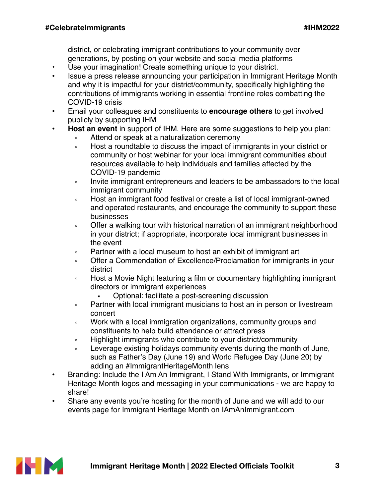district, or celebrating immigrant contributions to your community over generations, by posting on your website and social media platforms

- Use your imagination! Create something unique to your district.
- Issue a press release announcing your participation in Immigrant Heritage Month and why it is impactful for your district/community, specifically highlighting the contributions of immigrants working in essential frontline roles combatting the COVID-19 crisis
- Email your colleagues and constituents to **encourage others** to get involved publicly by supporting IHM
- **Host an event** in support of IHM. Here are some suggestions to help you plan:
	- Attend or speak at a naturalization ceremony
	- Host a roundtable to discuss the impact of immigrants in your district or community or host webinar for your local immigrant communities about resources available to help individuals and families affected by the COVID-19 pandemic
	- Invite immigrant entrepreneurs and leaders to be ambassadors to the local immigrant community
	- Host an immigrant food festival or create a list of local immigrant-owned and operated restaurants, and encourage the community to support these businesses
	- Offer a walking tour with historical narration of an immigrant neighborhood in your district; if appropriate, incorporate local immigrant businesses in the event
	- Partner with a local museum to host an exhibit of immigrant art
	- Offer a Commendation of Excellence/Proclamation for immigrants in your district
	- Host a Movie Night featuring a film or documentary highlighting immigrant directors or immigrant experiences
		- Optional: facilitate a post-screening discussion
	- Partner with local immigrant musicians to host an in person or livestream concert
	- Work with a local immigration organizations, community groups and constituents to help build attendance or attract press
	- Highlight immigrants who contribute to your district/community
	- Leverage existing holidays community events during the month of June, such as Father's Day (June 19) and World Refugee Day (June 20) by adding an #ImmigrantHeritageMonth lens
- Branding: Include the I Am An Immigrant, I Stand With Immigrants, or Immigrant Heritage Month logos and messaging in your communications - we are happy to share!
- Share any events you're hosting for the month of June and we will add to our events page for Immigrant Heritage Month on IAmAnImmigrant.com

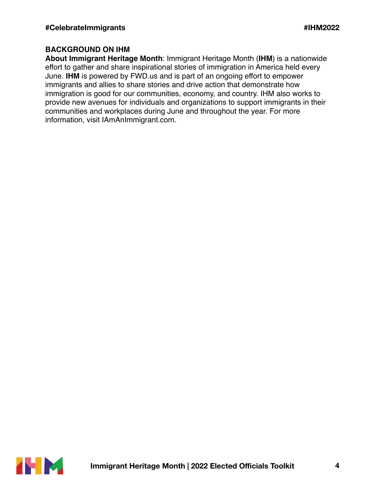# **BACKGROUND ON IHM**

**About Immigrant Heritage Month**: Immigrant Heritage Month (**IHM**) is a nationwide effort to gather and share inspirational stories of immigration in America held every June. **IHM** is powered by FWD.us and is part of an ongoing effort to empower immigrants and allies to share stories and drive action that demonstrate how immigration is good for our communities, economy, and country. IHM also works to provide new avenues for individuals and organizations to support immigrants in their communities and workplaces during June and throughout the year. For more information, visit IAmAnImmigrant.com.

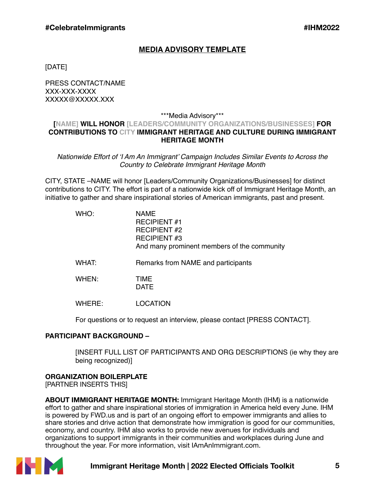## **MEDIA ADVISORY TEMPLATE**

[DATE]

PRESS CONTACT/NAME XXX-XXX-XXXX XXXXX@XXXXX.XXX

#### \*\*\*Media Advisory\*\*\*

#### **[NAME] WILL HONOR [LEADERS/COMMUNITY ORGANIZATIONS/BUSINESSES] FOR CONTRIBUTIONS TO CITY IMMIGRANT HERITAGE AND CULTURE DURING IMMIGRANT HERITAGE MONTH**

*Nationwide Effort of 'I Am An Immigrant' Campaign Includes Similar Events to Across the Country to Celebrate Immigrant Heritage Month*

CITY, STATE –NAME will honor [Leaders/Community Organizations/Businesses] for distinct contributions to CITY. The effort is part of a nationwide kick off of Immigrant Heritage Month, an initiative to gather and share inspirational stories of American immigrants, past and present.

| WHO:   | NAME<br><b>RECIPIENT #1</b><br><b>RECIPIENT #2</b><br><b>RECIPIENT#3</b><br>And many prominent members of the community |
|--------|-------------------------------------------------------------------------------------------------------------------------|
| WHAT:  | Remarks from NAME and participants                                                                                      |
| WHEN:  | <b>TIME</b><br><b>DATE</b>                                                                                              |
| WHERE: | LOCATION                                                                                                                |

For questions or to request an interview, please contact [PRESS CONTACT].

#### **PARTICIPANT BACKGROUND –**

[INSERT FULL LIST OF PARTICIPANTS AND ORG DESCRIPTIONS (ie why they are being recognized)]

#### **ORGANIZATION BOILERPLATE**

[PARTNER INSERTS THIS]

**ABOUT IMMIGRANT HERITAGE MONTH:** Immigrant Heritage Month (IHM) is a nationwide effort to gather and share inspirational stories of immigration in America held every June. IHM is powered by FWD.us and is part of an ongoing effort to empower immigrants and allies to share stories and drive action that demonstrate how immigration is good for our communities, economy, and country. IHM also works to provide new avenues for individuals and organizations to support immigrants in their communities and workplaces during June and throughout the year. For more information, visit IAmAnImmigrant.com.



## **Immigrant Heritage Month | 2022 Elected Officials Toolkit 5**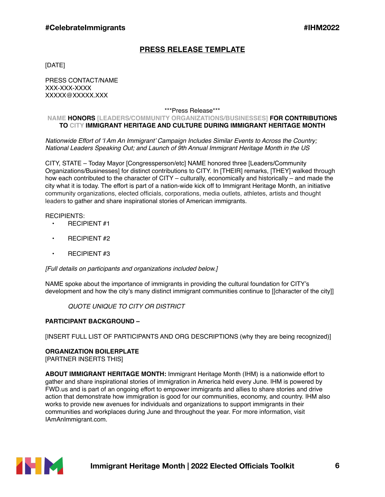# **PRESS RELEASE TEMPLATE**

[DATE]

PRESS CONTACT/NAME XXX-XXX-XXXX XXXXX@XXXXX.XXX

\*\*\*Press Release\*\*\*

#### **NAME HONORS [LEADERS/COMMUNITY ORGANIZATIONS/BUSINESSES] FOR CONTRIBUTIONS TO CITY IMMIGRANT HERITAGE AND CULTURE DURING IMMIGRANT HERITAGE MONTH**

*Nationwide Effort of 'I Am An Immigrant' Campaign Includes Similar Events to Across the Country; National Leaders Speaking Out; and Launch of 9th Annual Immigrant Heritage Month in the US*

CITY, STATE – Today Mayor [Congressperson/etc] NAME honored three [Leaders/Community Organizations/Businesses] for distinct contributions to CITY. In [THEIR] remarks, [THEY] walked through how each contributed to the character of CITY – culturally, economically and historically – and made the city what it is today. The effort is part of a nation-wide kick off to Immigrant Heritage Month, an initiative community organizations, elected officials, corporations, media outlets, athletes, artists and thought leaders to gather and share inspirational stories of American immigrants.

#### RECIPIENTS:

- RECIPIENT #1
- RECIPIENT #2
- RECIPIENT #3

*[Full details on participants and organizations included below.]*

NAME spoke about the importance of immigrants in providing the cultural foundation for CITY's development and how the city's many distinct immigrant communities continue to [[character of the city]]

#### *QUOTE UNIQUE TO CITY OR DISTRICT*

#### **PARTICIPANT BACKGROUND –**

[INSERT FULL LIST OF PARTICIPANTS AND ORG DESCRIPTIONS (why they are being recognized)]

#### **ORGANIZATION BOILERPLATE**

[PARTNER INSERTS THIS]

**ABOUT IMMIGRANT HERITAGE MONTH:** Immigrant Heritage Month (IHM) is a nationwide effort to gather and share inspirational stories of immigration in America held every June. IHM is powered by FWD.us and is part of an ongoing effort to empower immigrants and allies to share stories and drive action that demonstrate how immigration is good for our communities, economy, and country. IHM also works to provide new avenues for individuals and organizations to support immigrants in their communities and workplaces during June and throughout the year. For more information, visit IAmAnImmigrant.com.

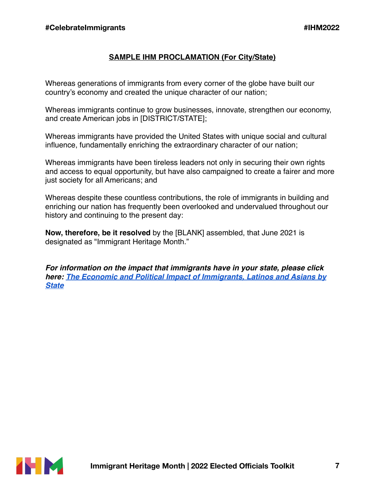# **SAMPLE IHM PROCLAMATION (For City/State)**

Whereas generations of immigrants from every corner of the globe have built our country's economy and created the unique character of our nation;

Whereas immigrants continue to grow businesses, innovate, strengthen our economy, and create American jobs in [DISTRICT/STATE];

Whereas immigrants have provided the United States with unique social and cultural influence, fundamentally enriching the extraordinary character of our nation;

Whereas immigrants have been tireless leaders not only in securing their own rights and access to equal opportunity, but have also campaigned to create a fairer and more just society for all Americans; and

Whereas despite these countless contributions, the role of immigrants in building and enriching our nation has frequently been overlooked and undervalued throughout our history and continuing to the present day:

**Now, therefore, be it resolved** by the [BLANK] assembled, that June 2021 is designated as "Immigrant Heritage Month."

*For information on the impact that immigrants have in your state, please click here: [The Economic and Political Impact of Immigrants, Latinos and Asians by](https://www.americanimmigrationcouncil.org/topics/state-by-state)  [State](https://www.americanimmigrationcouncil.org/topics/state-by-state)*